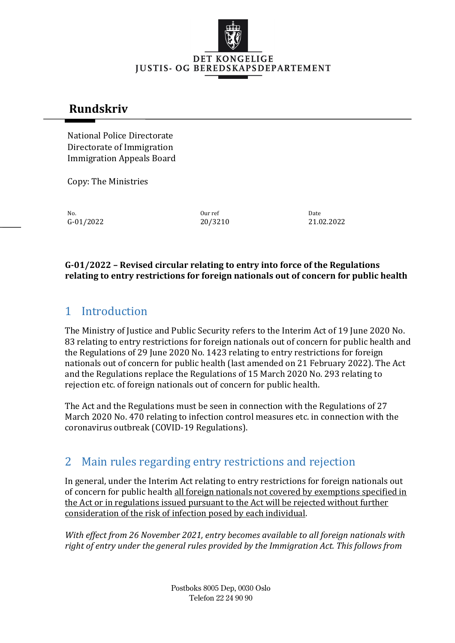

### **Rundskriv**

National Police Directorate Directorate of Immigration Immigration Appeals Board

Copy: The Ministries

No. No. 2012 **Date** Date of the United States of the United States of the Date of the Date of the Date of the Date

G-01/2022 20/3210 21.02.2022

#### **G-01/2022 – Revised circular relating to entry into force of the Regulations relating to entry restrictions for foreign nationals out of concern for public health**

# 1 Introduction

The Ministry of Justice and Public Security refers to the Interim Act of 19 June 2020 No. 83 relating to entry restrictions for foreign nationals out of concern for public health and the Regulations of 29 June 2020 No. 1423 relating to entry restrictions for foreign nationals out of concern for public health (last amended on 21 February 2022). The Act and the Regulations replace the Regulations of 15 March 2020 No. 293 relating to rejection etc. of foreign nationals out of concern for public health.

The Act and the Regulations must be seen in connection with the Regulations of 27 March 2020 No. 470 relating to infection control measures etc. in connection with the coronavirus outbreak (COVID-19 Regulations).

### 2 Main rules regarding entry restrictions and rejection

In general, under the Interim Act relating to entry restrictions for foreign nationals out of concern for public health all foreign nationals not covered by exemptions specified in the Act or in regulations issued pursuant to the Act will be rejected without further consideration of the risk of infection posed by each individual.

*With effect from 26 November 2021, entry becomes available to all foreign nationals with right of entry under the general rules provided by the Immigration Act. This follows from*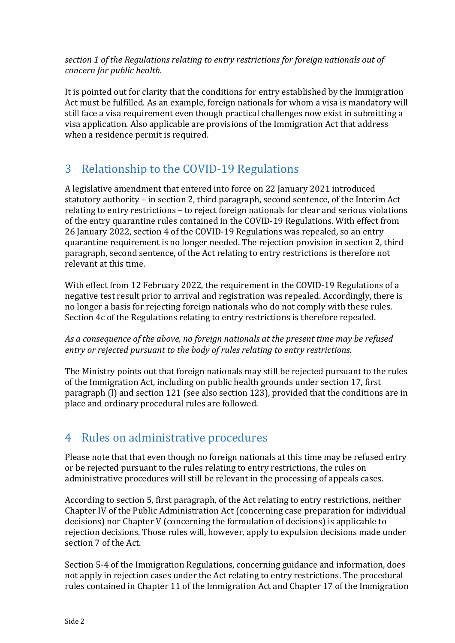*section 1 of the Regulations relating to entry restrictions for foreign nationals out of concern for public health.*

It is pointed out for clarity that the conditions for entry established by the Immigration Act must be fulfilled. As an example, foreign nationals for whom a visa is mandatory will still face a visa requirement even though practical challenges now exist in submitting a visa application. Also applicable are provisions of the Immigration Act that address when a residence permit is required.

# 3 Relationship to the COVID-19 Regulations

A legislative amendment that entered into force on 22 January 2021 introduced statutory authority – in section 2, third paragraph, second sentence, of the Interim Act relating to entry restrictions – to reject foreign nationals for clear and serious violations of the entry quarantine rules contained in the COVID-19 Regulations. With effect from 26 January 2022, section 4 of the COVID-19 Regulations was repealed, so an entry quarantine requirement is no longer needed. The rejection provision in section 2, third paragraph, second sentence, of the Act relating to entry restrictions is therefore not relevant at this time.

With effect from 12 February 2022, the requirement in the COVID-19 Regulations of a negative test result prior to arrival and registration was repealed. Accordingly, there is no longer a basis for rejecting foreign nationals who do not comply with these rules. Section 4c of the Regulations relating to entry restrictions is therefore repealed.

*As a consequence of the above, no foreign nationals at the present time may be refused entry or rejected pursuant to the body of rules relating to entry restrictions.*

The Ministry points out that foreign nationals may still be rejected pursuant to the rules of the Immigration Act, including on public health grounds under section 17, first paragraph (l) and section 121 (see also section 123), provided that the conditions are in place and ordinary procedural rules are followed.

## 4 Rules on administrative procedures

Please note that that even though no foreign nationals at this time may be refused entry or be rejected pursuant to the rules relating to entry restrictions, the rules on administrative procedures will still be relevant in the processing of appeals cases.

According to section 5, first paragraph, of the Act relating to entry restrictions, neither Chapter IV of the Public Administration Act (concerning case preparation for individual decisions) nor Chapter V (concerning the formulation of decisions) is applicable to rejection decisions. Those rules will, however, apply to expulsion decisions made under section 7 of the Act.

Section 5-4 of the Immigration Regulations, concerning guidance and information, does not apply in rejection cases under the Act relating to entry restrictions. The procedural rules contained in Chapter 11 of the Immigration Act and Chapter 17 of the Immigration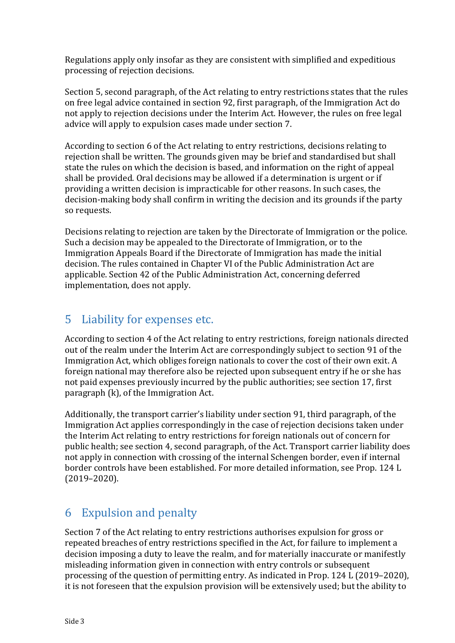Regulations apply only insofar as they are consistent with simplified and expeditious processing of rejection decisions.

Section 5, second paragraph, of the Act relating to entry restrictions states that the rules on free legal advice contained in section 92, first paragraph, of the Immigration Act do not apply to rejection decisions under the Interim Act. However, the rules on free legal advice will apply to expulsion cases made under section 7.

According to section 6 of the Act relating to entry restrictions, decisions relating to rejection shall be written. The grounds given may be brief and standardised but shall state the rules on which the decision is based, and information on the right of appeal shall be provided. Oral decisions may be allowed if a determination is urgent or if providing a written decision is impracticable for other reasons. In such cases, the decision-making body shall confirm in writing the decision and its grounds if the party so requests.

Decisions relating to rejection are taken by the Directorate of Immigration or the police. Such a decision may be appealed to the Directorate of Immigration, or to the Immigration Appeals Board if the Directorate of Immigration has made the initial decision. The rules contained in Chapter VI of the Public Administration Act are applicable. Section 42 of the Public Administration Act, concerning deferred implementation, does not apply.

#### 5 Liability for expenses etc.

According to section 4 of the Act relating to entry restrictions, foreign nationals directed out of the realm under the Interim Act are correspondingly subject to section 91 of the Immigration Act, which obliges foreign nationals to cover the cost of their own exit. A foreign national may therefore also be rejected upon subsequent entry if he or she has not paid expenses previously incurred by the public authorities; see section 17, first paragraph (k), of the Immigration Act.

Additionally, the transport carrier's liability under section 91, third paragraph, of the Immigration Act applies correspondingly in the case of rejection decisions taken under the Interim Act relating to entry restrictions for foreign nationals out of concern for public health; see section 4, second paragraph, of the Act. Transport carrier liability does not apply in connection with crossing of the internal Schengen border, even if internal border controls have been established. For more detailed information, see Prop. 124 L (2019–2020).

# 6 Expulsion and penalty

Section 7 of the Act relating to entry restrictions authorises expulsion for gross or repeated breaches of entry restrictions specified in the Act, for failure to implement a decision imposing a duty to leave the realm, and for materially inaccurate or manifestly misleading information given in connection with entry controls or subsequent processing of the question of permitting entry. As indicated in Prop. 124 L (2019–2020), it is not foreseen that the expulsion provision will be extensively used; but the ability to